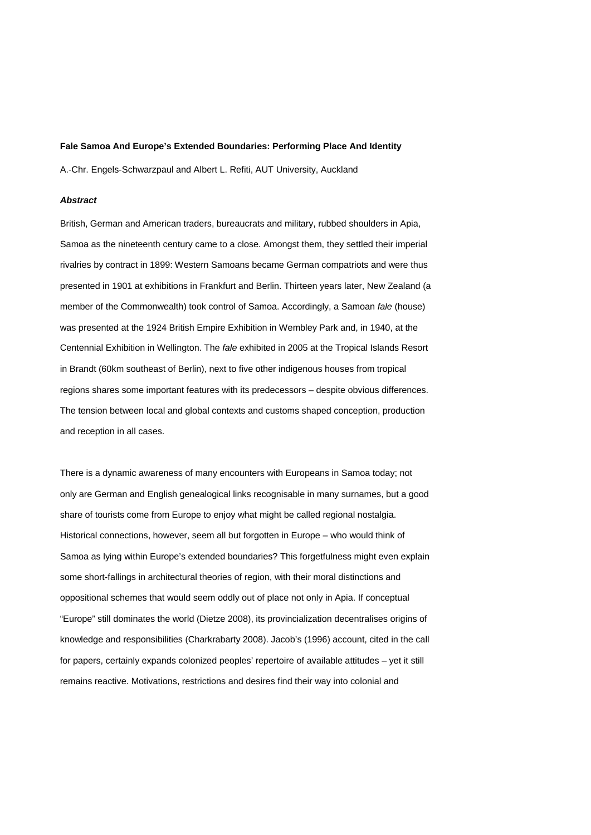#### **Fale Samoa And Europe's Extended Boundaries: Performing Place And Identity**

A.-Chr. Engels-Schwarzpaul and Albert L. Refiti, AUT University, Auckland

#### *Abstract*

British, German and American traders, bureaucrats and military, rubbed shoulders in Apia, Samoa as the nineteenth century came to a close. Amongst them, they settled their imperial rivalries by contract in 1899: Western Samoans became German compatriots and were thus presented in 1901 at exhibitions in Frankfurt and Berlin. Thirteen years later, New Zealand (a member of the Commonwealth) took control of Samoa. Accordingly, a Samoan *fale* (house) was presented at the 1924 British Empire Exhibition in Wembley Park and, in 1940, at the Centennial Exhibition in Wellington. The *fale* exhibited in 2005 at the Tropical Islands Resort in Brandt (60km southeast of Berlin), next to five other indigenous houses from tropical regions shares some important features with its predecessors – despite obvious differences. The tension between local and global contexts and customs shaped conception, production and reception in all cases.

There is a dynamic awareness of many encounters with Europeans in Samoa today; not only are German and English genealogical links recognisable in many surnames, but a good share of tourists come from Europe to enjoy what might be called regional nostalgia. Historical connections, however, seem all but forgotten in Europe – who would think of Samoa as lying within Europe's extended boundaries? This forgetfulness might even explain some short-fallings in architectural theories of region, with their moral distinctions and oppositional schemes that would seem oddly out of place not only in Apia. If conceptual "Europe" still dominates the world (Dietze 2008), its provincialization decentralises origins of knowledge and responsibilities (Charkrabarty 2008). Jacob's (1996) account, cited in the call for papers, certainly expands colonized peoples' repertoire of available attitudes – yet it still remains reactive. Motivations, restrictions and desires find their way into colonial and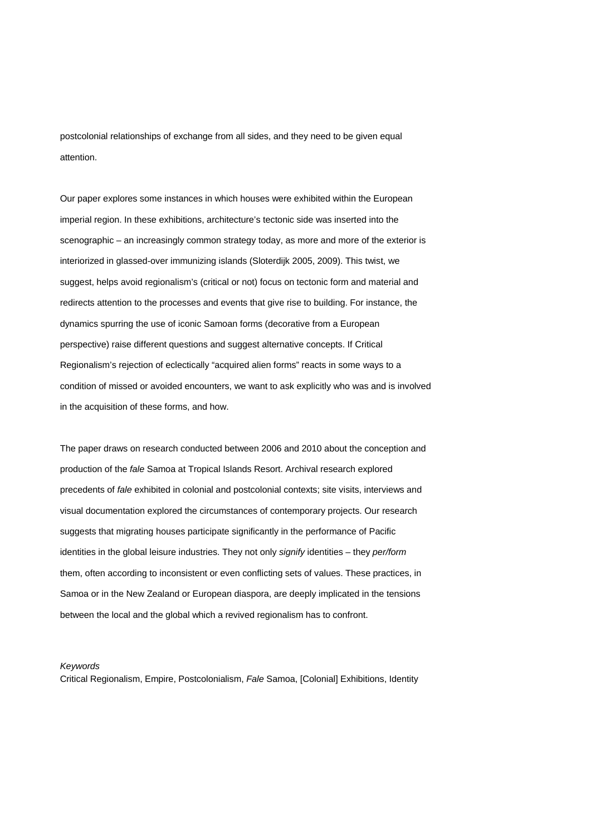postcolonial relationships of exchange from all sides, and they need to be given equal attention.

Our paper explores some instances in which houses were exhibited within the European imperial region. In these exhibitions, architecture's tectonic side was inserted into the scenographic – an increasingly common strategy today, as more and more of the exterior is interiorized in glassed-over immunizing islands (Sloterdijk 2005, 2009). This twist, we suggest, helps avoid regionalism's (critical or not) focus on tectonic form and material and redirects attention to the processes and events that give rise to building. For instance, the dynamics spurring the use of iconic Samoan forms (decorative from a European perspective) raise different questions and suggest alternative concepts. If Critical Regionalism's rejection of eclectically "acquired alien forms" reacts in some ways to a condition of missed or avoided encounters, we want to ask explicitly who was and is involved in the acquisition of these forms, and how.

The paper draws on research conducted between 2006 and 2010 about the conception and production of the *fale* Samoa at Tropical Islands Resort. Archival research explored precedents of *fale* exhibited in colonial and postcolonial contexts; site visits, interviews and visual documentation explored the circumstances of contemporary projects. Our research suggests that migrating houses participate significantly in the performance of Pacific identities in the global leisure industries. They not only *signify* identities – they *per/form* them, often according to inconsistent or even conflicting sets of values. These practices, in Samoa or in the New Zealand or European diaspora, are deeply implicated in the tensions between the local and the global which a revived regionalism has to confront.

## *Keywords*

Critical Regionalism, Empire, Postcolonialism, *Fale* Samoa, [Colonial] Exhibitions, Identity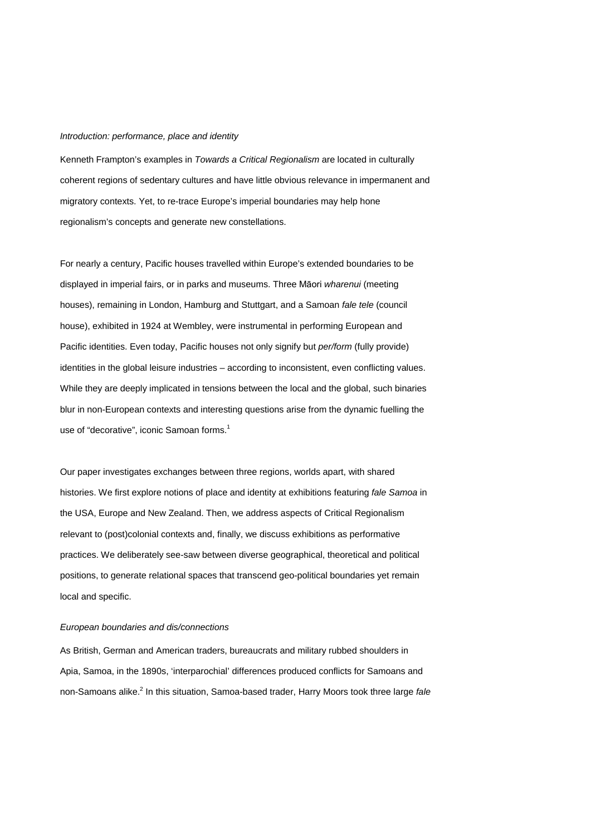#### *Introduction: performance, place and identity*

Kenneth Frampton's examples in *Towards a Critical Regionalism* are located in culturally coherent regions of sedentary cultures and have little obvious relevance in impermanent and migratory contexts. Yet, to re-trace Europe's imperial boundaries may help hone regionalism's concepts and generate new constellations.

For nearly a century, Pacific houses travelled within Europe's extended boundaries to be displayed in imperial fairs, or in parks and museums. Three Māori *wharenui* (meeting houses), remaining in London, Hamburg and Stuttgart, and a Samoan *fale tele* (council house), exhibited in 1924 at Wembley, were instrumental in performing European and Pacific identities. Even today, Pacific houses not only signify but *per/form* (fully provide) identities in the global leisure industries – according to inconsistent, even conflicting values. While they are deeply implicated in tensions between the local and the global, such binaries blur in non-European contexts and interesting questions arise from the dynamic fuelling the use of "decorative", iconic Samoan forms. 1

Our paper investigates exchanges between three regions, worlds apart, with shared histories. We first explore notions of place and identity at exhibitions featuring *fale Samoa* in the USA, Europe and New Zealand. Then, we address aspects of Critical Regionalism relevant to (post)colonial contexts and, finally, we discuss exhibitions as performative practices. We deliberately see-saw between diverse geographical, theoretical and political positions, to generate relational spaces that transcend geo-political boundaries yet remain local and specific.

#### *European boundaries and dis/connections*

As British, German and American traders, bureaucrats and military rubbed shoulders in Apia, Samoa, in the 1890s, 'interparochial' differences produced conflicts for Samoans and non-Samoans alike. <sup>2</sup> In this situation, Samoa-based trader, Harry Moors took three large *fale*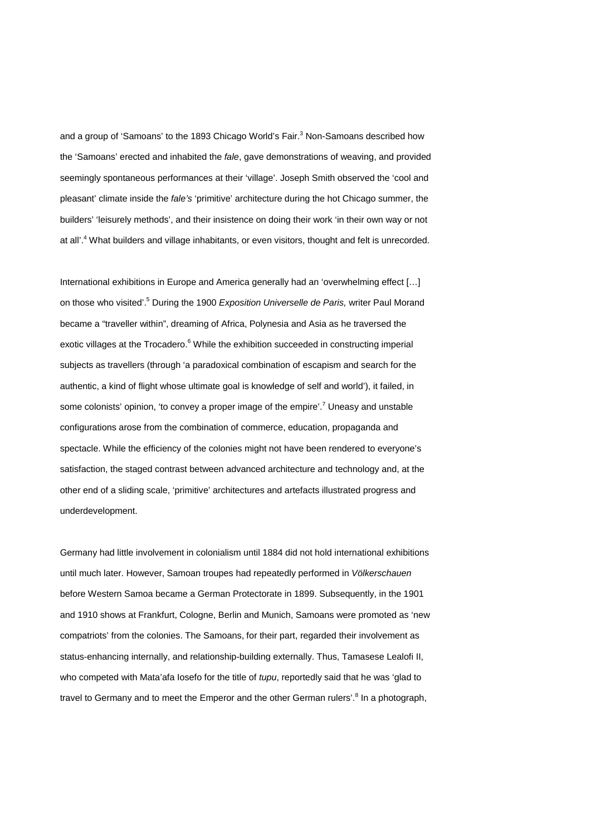and a group of 'Samoans' to the 1893 Chicago World's Fair.<sup>3</sup> Non-Samoans described how the 'Samoans' erected and inhabited the *fale*, gave demonstrations of weaving, and provided seemingly spontaneous performances at their 'village'. Joseph Smith observed the 'cool and pleasant' climate inside the *fale's* 'primitive' architecture during the hot Chicago summer, the builders' 'leisurely methods', and their insistence on doing their work 'in their own way or not at all'.<sup>4</sup> What builders and village inhabitants, or even visitors, thought and felt is unrecorded.

International exhibitions in Europe and America generally had an 'overwhelming effect […] on those who visited'.5 During the 1900 *Exposition Universelle de Paris,* writer Paul Morand became a "traveller within", dreaming of Africa, Polynesia and Asia as he traversed the exotic villages at the Trocadero.<sup>6</sup> While the exhibition succeeded in constructing imperial subjects as travellers (through 'a paradoxical combination of escapism and search for the authentic, a kind of flight whose ultimate goal is knowledge of self and world'), it failed, in some colonists' opinion, 'to convey a proper image of the empire'.<sup>7</sup> Uneasy and unstable configurations arose from the combination of commerce, education, propaganda and spectacle. While the efficiency of the colonies might not have been rendered to everyone's satisfaction, the staged contrast between advanced architecture and technology and, at the other end of a sliding scale, 'primitive' architectures and artefacts illustrated progress and underdevelopment.

Germany had little involvement in colonialism until 1884 did not hold international exhibitions until much later. However, Samoan troupes had repeatedly performed in *Völkerschauen* before Western Samoa became a German Protectorate in 1899. Subsequently, in the 1901 and 1910 shows at Frankfurt, Cologne, Berlin and Munich, Samoans were promoted as 'new compatriots' from the colonies. The Samoans, for their part, regarded their involvement as status-enhancing internally, and relationship-building externally. Thus, Tamasese Lealofi II, who competed with Mata'afa Iosefo for the title of *tupu*, reportedly said that he was 'glad to travel to Germany and to meet the Emperor and the other German rulers'.<sup>8</sup> In a photograph,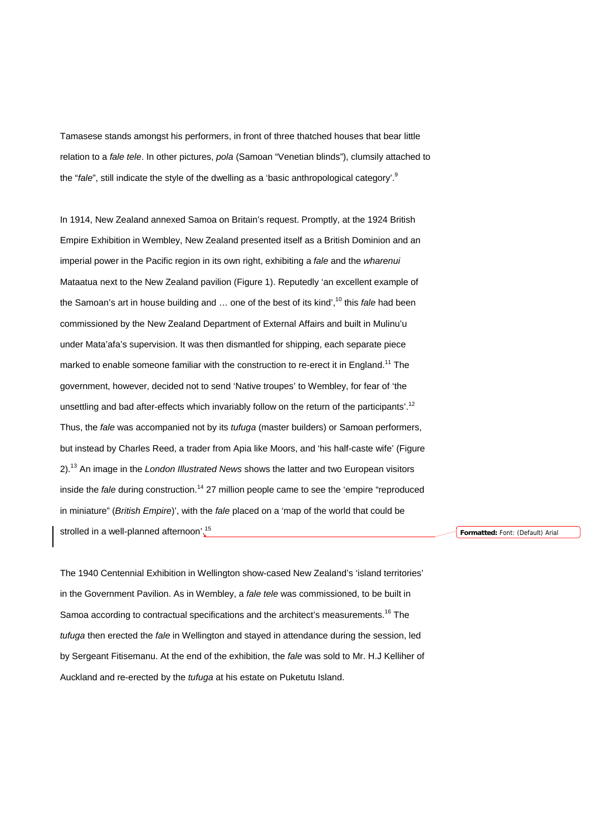Tamasese stands amongst his performers, in front of three thatched houses that bear little relation to a *fale tele*. In other pictures, *pola* (Samoan "Venetian blinds"), clumsily attached to the "*fale*", still indicate the style of the dwelling as a 'basic anthropological category'.<sup>9</sup>

In 1914, New Zealand annexed Samoa on Britain's request. Promptly, at the 1924 British Empire Exhibition in Wembley, New Zealand presented itself as a British Dominion and an imperial power in the Pacific region in its own right, exhibiting a *fale* and the *wharenui* Mataatua next to the New Zealand pavilion (Figure 1). Reputedly 'an excellent example of the Samoan's art in house building and ... one of the best of its kind',<sup>10</sup> this *fale* had been commissioned by the New Zealand Department of External Affairs and built in Mulinu'u under Mata'afa's supervision. It was then dismantled for shipping, each separate piece marked to enable someone familiar with the construction to re-erect it in England.<sup>11</sup> The government, however, decided not to send 'Native troupes' to Wembley, for fear of 'the unsettling and bad after-effects which invariably follow on the return of the participants'.<sup>12</sup> Thus, the *fale* was accompanied not by its *tufuga* (master builders) or Samoan performers, but instead by Charles Reed, a trader from Apia like Moors, and 'his half-caste wife' (Figure 2). <sup>13</sup> An image in the *London Illustrated News* shows the latter and two European visitors inside the *fale* during construction.<sup>14</sup> 27 million people came to see the 'empire "reproduced in miniature" (*British Empire*)', with the *fale* placed on a 'map of the world that could be strolled in a well-planned afternoon'.<sup>15</sup>

**Formatted:** Font: (Default) Arial

The 1940 Centennial Exhibition in Wellington show-cased New Zealand's 'island territories' in the Government Pavilion. As in Wembley, a *fale tele* was commissioned, to be built in Samoa according to contractual specifications and the architect's measurements.<sup>16</sup> The *tufuga* then erected the *fale* in Wellington and stayed in attendance during the session, led by Sergeant Fitisemanu. At the end of the exhibition, the *fale* was sold to Mr. H.J Kelliher of Auckland and re-erected by the *tufuga* at his estate on Puketutu Island.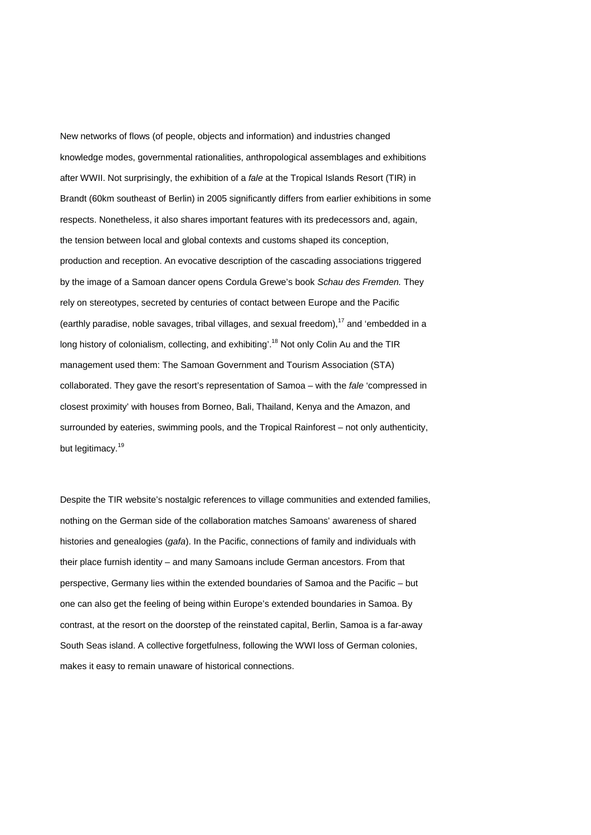New networks of flows (of people, objects and information) and industries changed knowledge modes, governmental rationalities, anthropological assemblages and exhibitions after WWII. Not surprisingly, the exhibition of a *fale* at the Tropical Islands Resort (TIR) in Brandt (60km southeast of Berlin) in 2005 significantly differs from earlier exhibitions in some respects. Nonetheless, it also shares important features with its predecessors and, again, the tension between local and global contexts and customs shaped its conception, production and reception. An evocative description of the cascading associations triggered by the image of a Samoan dancer opens Cordula Grewe's book *Schau des Fremden.* They rely on stereotypes, secreted by centuries of contact between Europe and the Pacific (earthly paradise, noble savages, tribal villages, and sexual freedom),<sup>17</sup> and 'embedded in a long history of colonialism, collecting, and exhibiting'.<sup>18</sup> Not only Colin Au and the TIR management used them: The Samoan Government and Tourism Association (STA) collaborated. They gave the resort's representation of Samoa – with the *fale* 'compressed in closest proximity' with houses from Borneo, Bali, Thailand, Kenya and the Amazon, and surrounded by eateries, swimming pools, and the Tropical Rainforest – not only authenticity, but legitimacy.<sup>19</sup>

Despite the TIR website's nostalgic references to village communities and extended families, nothing on the German side of the collaboration matches Samoans' awareness of shared histories and genealogies (*gafa*). In the Pacific, connections of family and individuals with their place furnish identity – and many Samoans include German ancestors. From that perspective, Germany lies within the extended boundaries of Samoa and the Pacific – but one can also get the feeling of being within Europe's extended boundaries in Samoa. By contrast, at the resort on the doorstep of the reinstated capital, Berlin, Samoa is a far-away South Seas island. A collective forgetfulness, following the WWI loss of German colonies, makes it easy to remain unaware of historical connections.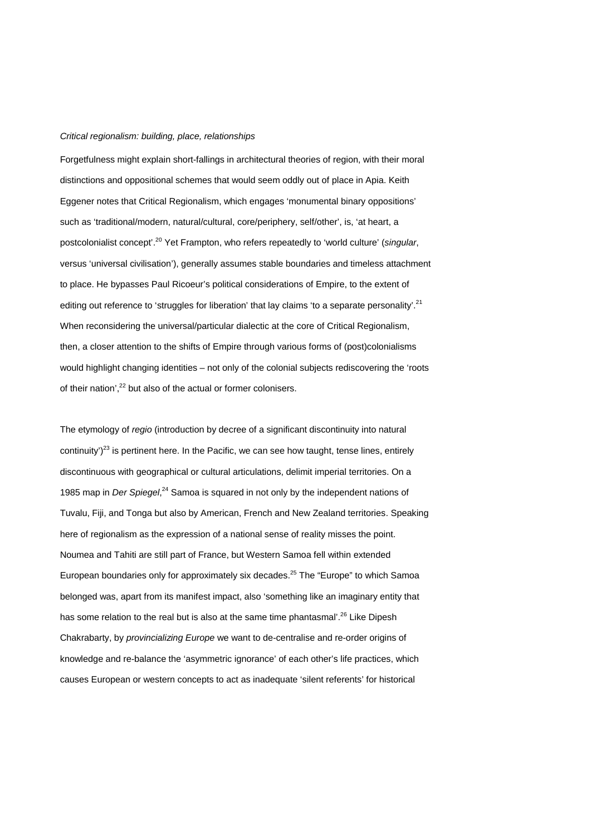#### *Critical regionalism: building, place, relationships*

Forgetfulness might explain short-fallings in architectural theories of region, with their moral distinctions and oppositional schemes that would seem oddly out of place in Apia. Keith Eggener notes that Critical Regionalism, which engages 'monumental binary oppositions' such as 'traditional/modern, natural/cultural, core/periphery, self/other', is, 'at heart, a postcolonialist concept'. <sup>20</sup> Yet Frampton, who refers repeatedly to 'world culture' (*singular*, versus 'universal civilisation'), generally assumes stable boundaries and timeless attachment to place. He bypasses Paul Ricoeur's political considerations of Empire, to the extent of editing out reference to 'struggles for liberation' that lay claims 'to a separate personality'.<sup>21</sup> When reconsidering the universal/particular dialectic at the core of Critical Regionalism, then, a closer attention to the shifts of Empire through various forms of (post)colonialisms would highlight changing identities – not only of the colonial subjects rediscovering the 'roots of their nation',<sup>22</sup> but also of the actual or former colonisers.

The etymology of *regio* (introduction by decree of a significant discontinuity into natural continuity')<sup>23</sup> is pertinent here. In the Pacific, we can see how taught, tense lines, entirely discontinuous with geographical or cultural articulations, delimit imperial territories. On a 1985 map in *Der Spiegel*, <sup>24</sup> Samoa is squared in not only by the independent nations of Tuvalu, Fiji, and Tonga but also by American, French and New Zealand territories. Speaking here of regionalism as the expression of a national sense of reality misses the point. Noumea and Tahiti are still part of France, but Western Samoa fell within extended European boundaries only for approximately six decades.<sup>25</sup> The "Europe" to which Samoa belonged was, apart from its manifest impact, also 'something like an imaginary entity that has some relation to the real but is also at the same time phantasmal'.<sup>26</sup> Like Dipesh Chakrabarty, by *provincializing Europe* we want to de-centralise and re-order origins of knowledge and re-balance the 'asymmetric ignorance' of each other's life practices, which causes European or western concepts to act as inadequate 'silent referents' for historical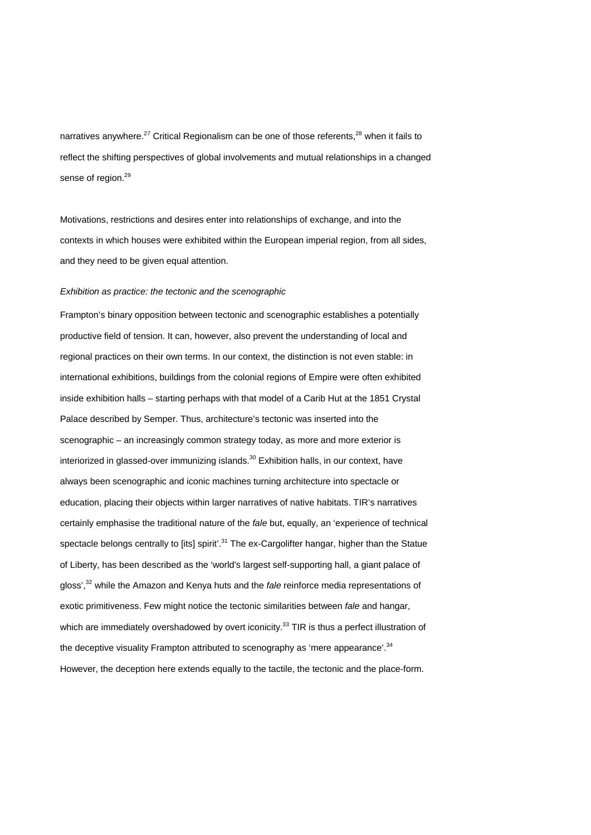narratives anywhere.<sup>27</sup> Critical Regionalism can be one of those referents,<sup>28</sup> when it fails to reflect the shifting perspectives of global involvements and mutual relationships in a changed sense of region.<sup>29</sup>

Motivations, restrictions and desires enter into relationships of exchange, and into the contexts in which houses were exhibited within the European imperial region, from all sides, and they need to be given equal attention.

#### *Exhibition as practice: the tectonic and the scenographic*

Frampton's binary opposition between tectonic and scenographic establishes a potentially productive field of tension. It can, however, also prevent the understanding of local and regional practices on their own terms. In our context, the distinction is not even stable: in international exhibitions, buildings from the colonial regions of Empire were often exhibited inside exhibition halls – starting perhaps with that model of a Carib Hut at the 1851 Crystal Palace described by Semper. Thus, architecture's tectonic was inserted into the scenographic – an increasingly common strategy today, as more and more exterior is interiorized in glassed-over immunizing islands.<sup>30</sup> Exhibition halls, in our context, have always been scenographic and iconic machines turning architecture into spectacle or education, placing their objects within larger narratives of native habitats. TIR's narratives certainly emphasise the traditional nature of the *fale* but, equally, an 'experience of technical spectacle belongs centrally to [its] spirit'.<sup>31</sup> The ex-Cargolifter hangar, higher than the Statue of Liberty, has been described as the 'world's largest self-supporting hall, a giant palace of gloss',32 while the Amazon and Kenya huts and the *fale* reinforce media representations of exotic primitiveness. Few might notice the tectonic similarities between *fale* and hangar, which are immediately overshadowed by overt iconicity.<sup>33</sup> TIR is thus a perfect illustration of the deceptive visuality Frampton attributed to scenography as 'mere appearance'.<sup>34</sup> However, the deception here extends equally to the tactile, the tectonic and the place-form.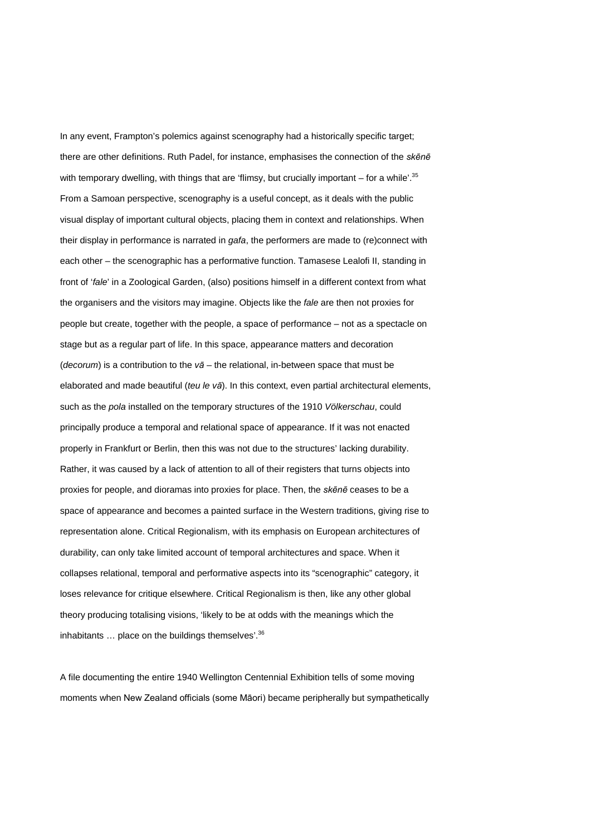In any event, Frampton's polemics against scenography had a historically specific target; there are other definitions. Ruth Padel, for instance, emphasises the connection of the *skēnē* with temporary dwelling, with things that are 'flimsy, but crucially important – for a while'. $35$ From a Samoan perspective, scenography is a useful concept, as it deals with the public visual display of important cultural objects, placing them in context and relationships. When their display in performance is narrated in *gafa*, the performers are made to (re)connect with each other – the scenographic has a performative function. Tamasese Lealofi II, standing in front of '*fale*' in a Zoological Garden, (also) positions himself in a different context from what the organisers and the visitors may imagine. Objects like the *fale* are then not proxies for people but create, together with the people, a space of performance – not as a spectacle on stage but as a regular part of life. In this space, appearance matters and decoration (*decorum*) is a contribution to the *vā* – the relational, in-between space that must be elaborated and made beautiful (*teu le vā*). In this context, even partial architectural elements, such as the *pola* installed on the temporary structures of the 1910 *Völkerschau*, could principally produce a temporal and relational space of appearance. If it was not enacted properly in Frankfurt or Berlin, then this was not due to the structures' lacking durability. Rather, it was caused by a lack of attention to all of their registers that turns objects into proxies for people, and dioramas into proxies for place. Then, the *skēnē* ceases to be a space of appearance and becomes a painted surface in the Western traditions, giving rise to representation alone. Critical Regionalism, with its emphasis on European architectures of durability, can only take limited account of temporal architectures and space. When it collapses relational, temporal and performative aspects into its "scenographic" category, it loses relevance for critique elsewhere. Critical Regionalism is then, like any other global theory producing totalising visions, 'likely to be at odds with the meanings which the inhabitants  $\ldots$  place on the buildings themselves<sup>'.36</sup>

A file documenting the entire 1940 Wellington Centennial Exhibition tells of some moving moments when New Zealand officials (some Māori) became peripherally but sympathetically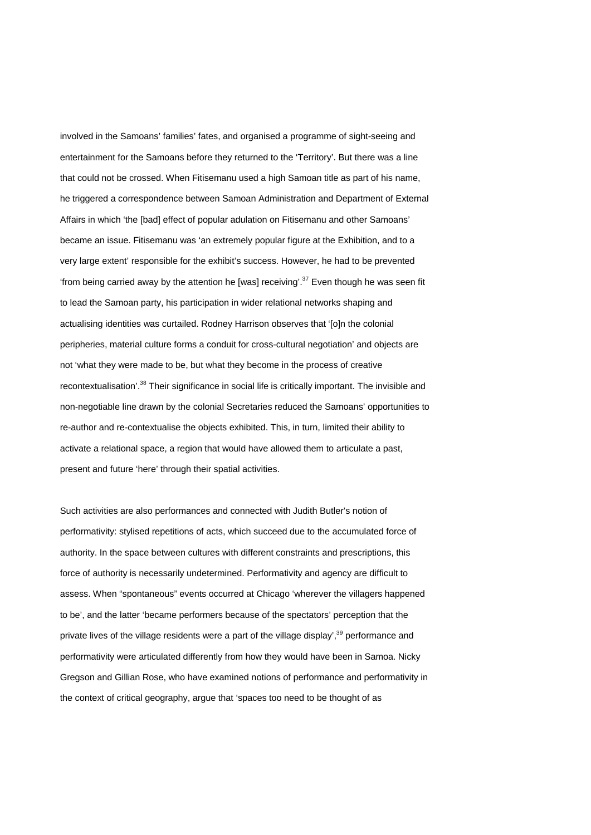involved in the Samoans' families' fates, and organised a programme of sight-seeing and entertainment for the Samoans before they returned to the 'Territory'. But there was a line that could not be crossed. When Fitisemanu used a high Samoan title as part of his name, he triggered a correspondence between Samoan Administration and Department of External Affairs in which 'the [bad] effect of popular adulation on Fitisemanu and other Samoans' became an issue. Fitisemanu was 'an extremely popular figure at the Exhibition, and to a very large extent' responsible for the exhibit's success. However, he had to be prevented 'from being carried away by the attention he [was] receiving'. $37$  Even though he was seen fit to lead the Samoan party, his participation in wider relational networks shaping and actualising identities was curtailed. Rodney Harrison observes that '[o]n the colonial peripheries, material culture forms a conduit for cross-cultural negotiation' and objects are not 'what they were made to be, but what they become in the process of creative recontextualisation'.<sup>38</sup> Their significance in social life is critically important. The invisible and non-negotiable line drawn by the colonial Secretaries reduced the Samoans' opportunities to re-author and re-contextualise the objects exhibited. This, in turn, limited their ability to activate a relational space, a region that would have allowed them to articulate a past, present and future 'here' through their spatial activities.

Such activities are also performances and connected with Judith Butler's notion of performativity: stylised repetitions of acts, which succeed due to the accumulated force of authority. In the space between cultures with different constraints and prescriptions, this force of authority is necessarily undetermined. Performativity and agency are difficult to assess. When "spontaneous" events occurred at Chicago 'wherever the villagers happened to be', and the latter 'became performers because of the spectators' perception that the private lives of the village residents were a part of the village display',<sup>39</sup> performance and performativity were articulated differently from how they would have been in Samoa. Nicky Gregson and Gillian Rose, who have examined notions of performance and performativity in the context of critical geography, argue that 'spaces too need to be thought of as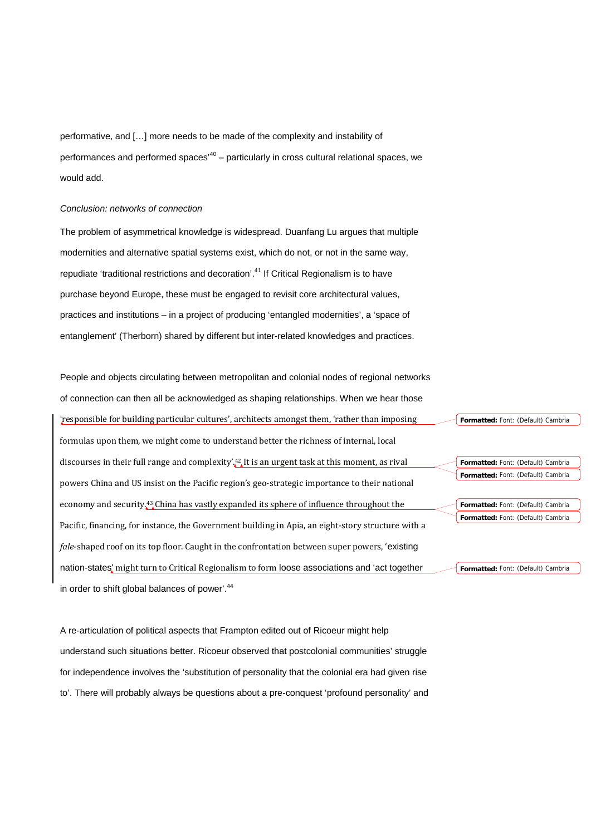performative, and […] more needs to be made of the complexity and instability of performances and performed spaces<sup>'40</sup> – particularly in cross cultural relational spaces, we would add.

#### *Conclusion: networks of connection*

The problem of asymmetrical knowledge is widespread. Duanfang Lu argues that multiple modernities and alternative spatial systems exist, which do not, or not in the same way, repudiate 'traditional restrictions and decoration'.<sup>41</sup> If Critical Regionalism is to have purchase beyond Europe, these must be engaged to revisit core architectural values, practices and institutions – in a project of producing 'entangled modernities', a 'space of entanglement' (Therborn) shared by different but inter-related knowledges and practices.

People and objects circulating between metropolitan and colonial nodes of regional networks of connection can then all be acknowledged as shaping relationships. When we hear those 'responsible for building particular cultures', architects amongst them, 'rather than imposing formulas upon them, we might come to understand better the richness of internal, local discourses in their full range and complexity'.42 It is an urgent task at this moment, as rival powers China and US insist on the Pacific region's geo-strategic importance to their national economy and security.<sup>43</sup> China has vastly expanded its sphere of influence throughout the Pacific, financing, for instance, the Government building in Apia, an eight-story structure with a *fale*-shaped roof on its top floor. Caught in the confrontation between super powers, 'existing nation-states' might turn to Critical Regionalism to form loose associations and 'act together in order to shift global balances of power'.<sup>44</sup> **Formatted:** Font: (Default) Cambria **Formatted:** Font: (Default) Cambria **Formatted:** Font: (Default) Cambria **Formatted:** Font: (Default) Cambria **Formatted:** Font: (Default) Cambria **Formatted:** Font: (Default) Cambria

A re-articulation of political aspects that Frampton edited out of Ricoeur might help understand such situations better. Ricoeur observed that postcolonial communities' struggle for independence involves the 'substitution of personality that the colonial era had given rise to'. There will probably always be questions about a pre-conquest 'profound personality' and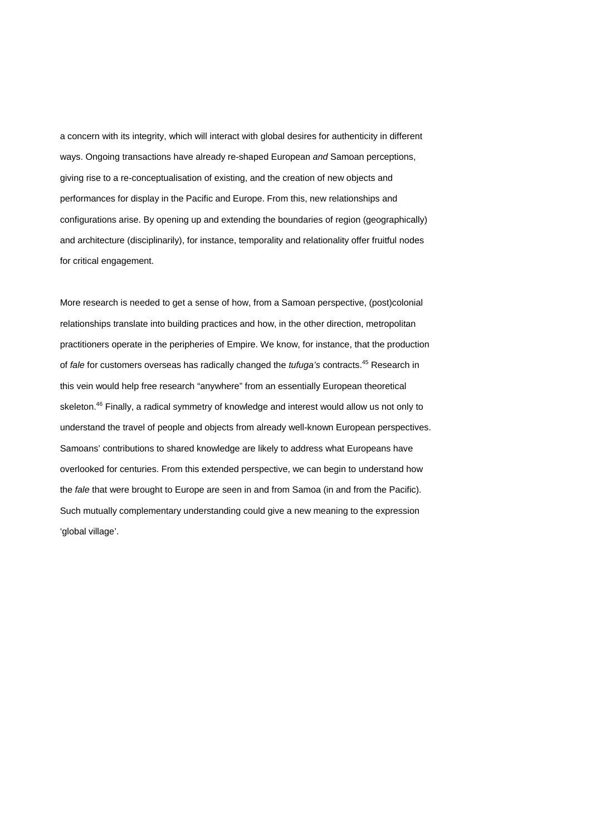a concern with its integrity, which will interact with global desires for authenticity in different ways. Ongoing transactions have already re-shaped European *and* Samoan perceptions, giving rise to a re-conceptualisation of existing, and the creation of new objects and performances for display in the Pacific and Europe. From this, new relationships and configurations arise. By opening up and extending the boundaries of region (geographically) and architecture (disciplinarily), for instance, temporality and relationality offer fruitful nodes for critical engagement.

More research is needed to get a sense of how, from a Samoan perspective, (post)colonial relationships translate into building practices and how, in the other direction, metropolitan practitioners operate in the peripheries of Empire. We know, for instance, that the production of *fale* for customers overseas has radically changed the *tufuga's* contracts.45 Research in this vein would help free research "anywhere" from an essentially European theoretical skeleton.<sup>46</sup> Finally, a radical symmetry of knowledge and interest would allow us not only to understand the travel of people and objects from already well-known European perspectives. Samoans' contributions to shared knowledge are likely to address what Europeans have overlooked for centuries. From this extended perspective, we can begin to understand how the *fale* that were brought to Europe are seen in and from Samoa (in and from the Pacific). Such mutually complementary understanding could give a new meaning to the expression 'global village'.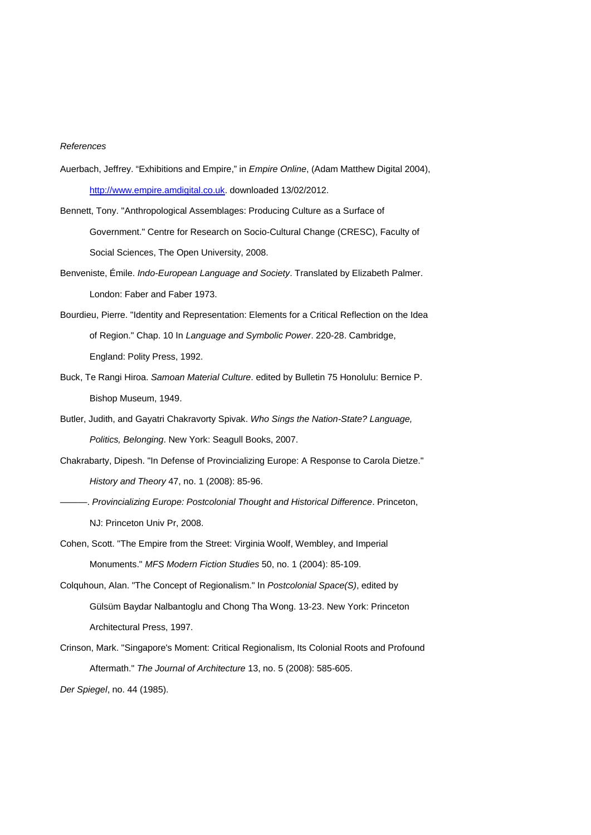## *References*

- Auerbach, Jeffrey. "Exhibitions and Empire," in *Empire Online*, (Adam Matthew Digital 2004), [http://www.empire.amdigital.co.uk.](http://www.empire.amdigital.co.uk/) downloaded 13/02/2012.
- Bennett, Tony. "Anthropological Assemblages: Producing Culture as a Surface of Government." Centre for Research on Socio-Cultural Change (CRESC), Faculty of Social Sciences, The Open University, 2008.
- Benveniste, Émile. *Indo-European Language and Society*. Translated by Elizabeth Palmer. London: Faber and Faber 1973.
- Bourdieu, Pierre. "Identity and Representation: Elements for a Critical Reflection on the Idea of Region." Chap. 10 In *Language and Symbolic Power*. 220-28. Cambridge, England: Polity Press, 1992.
- Buck, Te Rangi Hiroa. *Samoan Material Culture*. edited by Bulletin 75 Honolulu: Bernice P. Bishop Museum, 1949.
- Butler, Judith, and Gayatri Chakravorty Spivak. *Who Sings the Nation-State? Language, Politics, Belonging*. New York: Seagull Books, 2007.
- Chakrabarty, Dipesh. "In Defense of Provincializing Europe: A Response to Carola Dietze." *History and Theory* 47, no. 1 (2008): 85-96.
- ———. *Provincializing Europe: Postcolonial Thought and Historical Difference*. Princeton, NJ: Princeton Univ Pr, 2008.
- Cohen, Scott. "The Empire from the Street: Virginia Woolf, Wembley, and Imperial Monuments." *MFS Modern Fiction Studies* 50, no. 1 (2004): 85-109.
- Colquhoun, Alan. "The Concept of Regionalism." In *Postcolonial Space(S)*, edited by Gülsüm Baydar Nalbantoglu and Chong Tha Wong. 13-23. New York: Princeton Architectural Press, 1997.
- Crinson, Mark. "Singapore's Moment: Critical Regionalism, Its Colonial Roots and Profound Aftermath." *The Journal of Architecture* 13, no. 5 (2008): 585-605.

*Der Spiegel*, no. 44 (1985).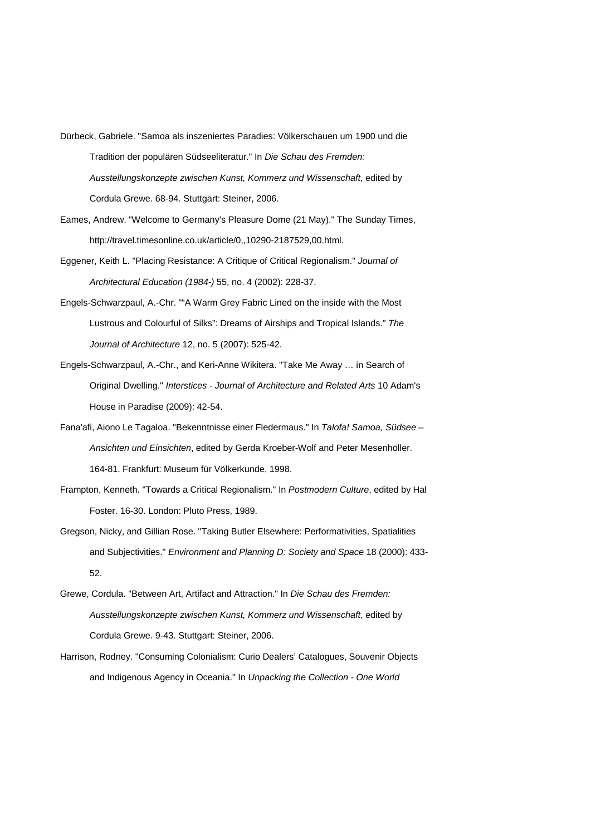- Dürbeck, Gabriele. "Samoa als inszeniertes Paradies: Völkerschauen um 1900 und die Tradition der populären Südseeliteratur." In *Die Schau des Fremden: Ausstellungskonzepte zwischen Kunst, Kommerz und Wissenschaft*, edited by Cordula Grewe. 68-94. Stuttgart: Steiner, 2006.
- Eames, Andrew. "Welcome to Germany's Pleasure Dome (21 May)." The Sunday Times, http://travel.timesonline.co.uk/article/0,,10290-2187529,00.html.
- Eggener, Keith L. "Placing Resistance: A Critique of Critical Regionalism." *Journal of Architectural Education (1984-)* 55, no. 4 (2002): 228-37.
- Engels-Schwarzpaul, A.-Chr. ""A Warm Grey Fabric Lined on the inside with the Most Lustrous and Colourful of Silks": Dreams of Airships and Tropical Islands." *The Journal of Architecture* 12, no. 5 (2007): 525-42.
- Engels-Schwarzpaul, A.-Chr., and Keri-Anne Wikitera. "Take Me Away … in Search of Original Dwelling." *Interstices - Journal of Architecture and Related Arts* 10 Adam's House in Paradise (2009): 42-54.
- Fana'afi, Aiono Le Tagaloa. "Bekenntnisse einer Fledermaus." In *Talofa! Samoa, Südsee – Ansichten und Einsichten*, edited by Gerda Kroeber-Wolf and Peter Mesenhöller. 164-81. Frankfurt: Museum für Völkerkunde, 1998.
- Frampton, Kenneth. "Towards a Critical Regionalism." In *Postmodern Culture*, edited by Hal Foster. 16-30. London: Pluto Press, 1989.
- Gregson, Nicky, and Gillian Rose. "Taking Butler Elsewhere: Performativities, Spatialities and Subjectivities." *Environment and Planning D: Society and Space* 18 (2000): 433- 52.
- Grewe, Cordula. "Between Art, Artifact and Attraction." In *Die Schau des Fremden: Ausstellungskonzepte zwischen Kunst, Kommerz und Wissenschaft*, edited by Cordula Grewe. 9-43. Stuttgart: Steiner, 2006.
- Harrison, Rodney. "Consuming Colonialism: Curio Dealers' Catalogues, Souvenir Objects and Indigenous Agency in Oceania." In *Unpacking the Collection - One World*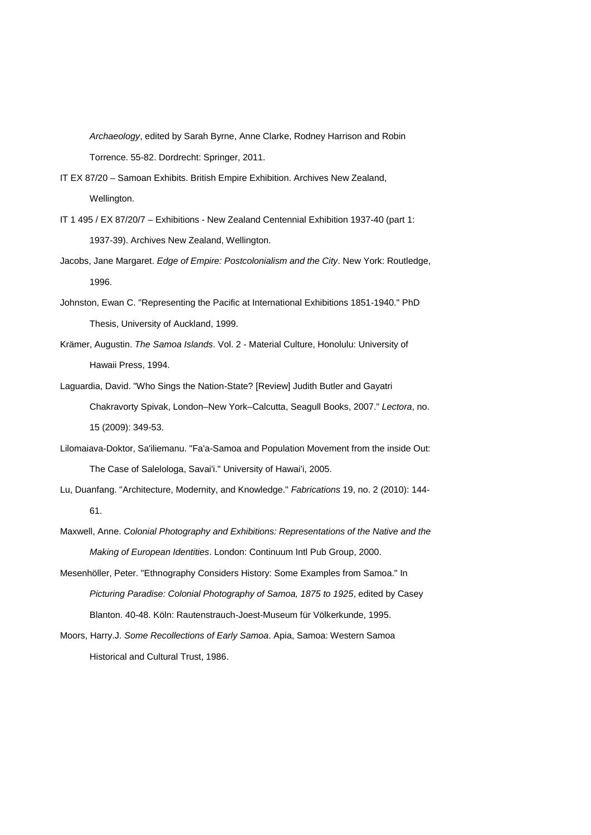*Archaeology*, edited by Sarah Byrne, Anne Clarke, Rodney Harrison and Robin Torrence. 55-82. Dordrecht: Springer, 2011.

IT EX 87/20 – Samoan Exhibits. British Empire Exhibition. Archives New Zealand, Wellington.

- IT 1 495 / EX 87/20/7 Exhibitions New Zealand Centennial Exhibition 1937-40 (part 1: 1937-39). Archives New Zealand, Wellington.
- Jacobs, Jane Margaret. *Edge of Empire: Postcolonialism and the City*. New York: Routledge, 1996.
- Johnston, Ewan C. "Representing the Pacific at International Exhibitions 1851-1940." PhD Thesis, University of Auckland, 1999.
- Krämer, Augustin. *The Samoa Islands*. Vol. 2 Material Culture, Honolulu: University of Hawaii Press, 1994.
- Laguardia, David. "Who Sings the Nation-State? [Review] Judith Butler and Gayatri Chakravorty Spivak, London–New York–Calcutta, Seagull Books, 2007." *Lectora*, no. 15 (2009): 349-53.
- Lilomaiava-Doktor, Sa'iliemanu. "Fa'a-Samoa and Population Movement from the inside Out: The Case of Salelologa, Savai'i." University of Hawai'i, 2005.
- Lu, Duanfang. "Architecture, Modernity, and Knowledge." *Fabrications* 19, no. 2 (2010): 144- 61.
- Maxwell, Anne. *Colonial Photography and Exhibitions: Representations of the Native and the Making of European Identities*. London: Continuum Intl Pub Group, 2000.
- Mesenhöller, Peter. "Ethnography Considers History: Some Examples from Samoa." In *Picturing Paradise: Colonial Photography of Samoa, 1875 to 1925*, edited by Casey Blanton. 40-48. Köln: Rautenstrauch-Joest-Museum für Völkerkunde, 1995.
- Moors, Harry.J. *Some Recollections of Early Samoa*. Apia, Samoa: Western Samoa Historical and Cultural Trust, 1986.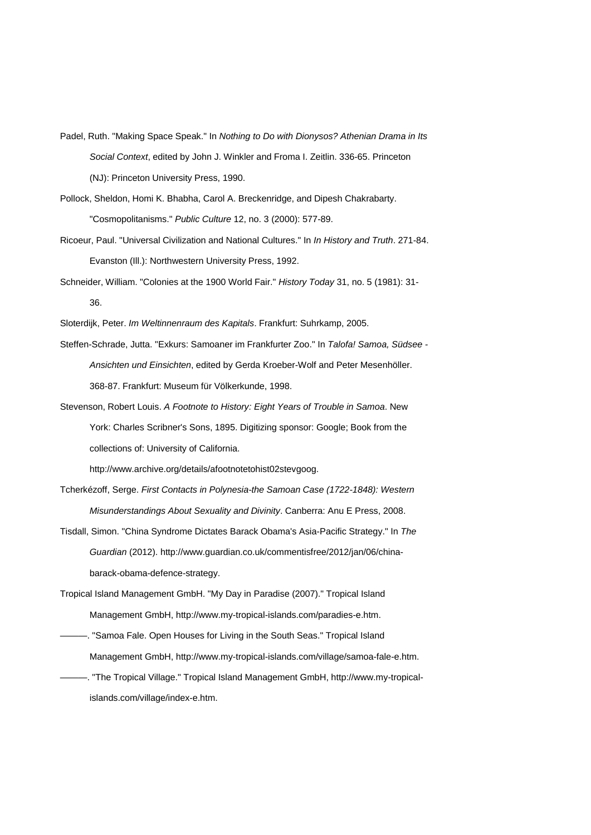- Padel, Ruth. "Making Space Speak." In *Nothing to Do with Dionysos? Athenian Drama in Its Social Context*, edited by John J. Winkler and Froma I. Zeitlin. 336-65. Princeton (NJ): Princeton University Press, 1990.
- Pollock, Sheldon, Homi K. Bhabha, Carol A. Breckenridge, and Dipesh Chakrabarty. "Cosmopolitanisms." *Public Culture* 12, no. 3 (2000): 577-89.
- Ricoeur, Paul. "Universal Civilization and National Cultures." In *In History and Truth*. 271-84. Evanston (Ill.): Northwestern University Press, 1992.
- Schneider, William. "Colonies at the 1900 World Fair." *History Today* 31, no. 5 (1981): 31- 36.
- Sloterdijk, Peter. *Im Weltinnenraum des Kapitals*. Frankfurt: Suhrkamp, 2005.
- Steffen-Schrade, Jutta. "Exkurs: Samoaner im Frankfurter Zoo." In *Talofa! Samoa, Südsee - Ansichten und Einsichten*, edited by Gerda Kroeber-Wolf and Peter Mesenhöller. 368-87. Frankfurt: Museum für Völkerkunde, 1998.
- Stevenson, Robert Louis. *A Footnote to History: Eight Years of Trouble in Samoa*. New York: Charles Scribner's Sons, 1895. Digitizing sponsor: Google; Book from the collections of: University of California.

http://www.archive.org/details/afootnotetohist02stevgoog.

- Tcherkézoff, Serge. *First Contacts in Polynesia-the Samoan Case (1722-1848): Western Misunderstandings About Sexuality and Divinity*. Canberra: Anu E Press, 2008.
- Tisdall, Simon. "China Syndrome Dictates Barack Obama's Asia-Pacific Strategy." In *The Guardian* (2012). http://www.guardian.co.uk/commentisfree/2012/jan/06/chinabarack-obama-defence-strategy.
- Tropical Island Management GmbH. "My Day in Paradise (2007)." Tropical Island Management GmbH, http://www.my-tropical-islands.com/paradies-e.htm.
- ———. "Samoa Fale. Open Houses for Living in the South Seas." Tropical Island Management GmbH, http://www.my-tropical-islands.com/village/samoa-fale-e.htm. -. "The Tropical Village." Tropical Island Management GmbH, http://www.my-tropical
	- islands.com/village/index-e.htm.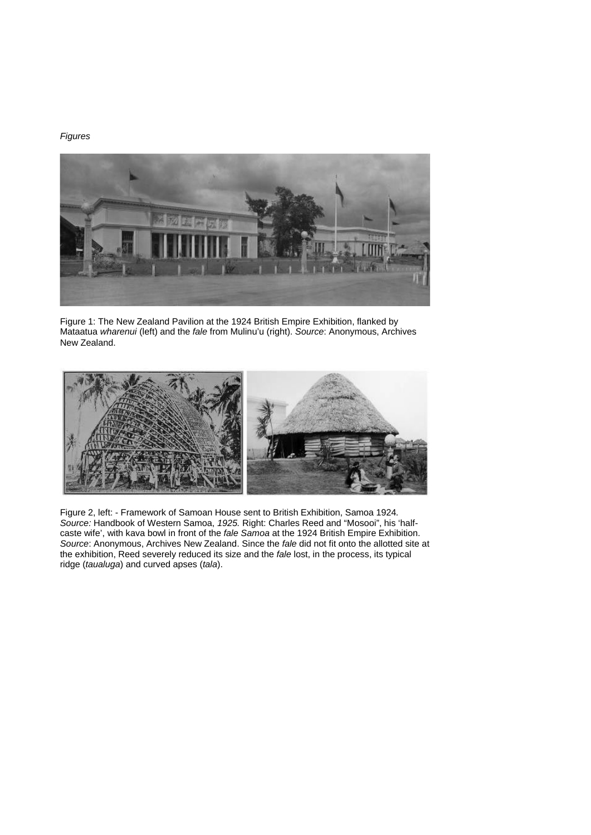# *Figures*



Figure 1: The New Zealand Pavilion at the 1924 British Empire Exhibition, flanked by Mataatua *wharenui* (left) and the *fale* from Mulinu'u (right). *Source*: Anonymous, Archives New Zealand.



Figure 2, left: - Framework of Samoan House sent to British Exhibition, Samoa 1924*. Source:* Handbook of Western Samoa, *1925.* Right: Charles Reed and "Mosooi", his 'halfcaste wife', with kava bowl in front of the *fale Samoa* at the 1924 British Empire Exhibition. *Source*: Anonymous, Archives New Zealand. Since the *fale* did not fit onto the allotted site at the exhibition, Reed severely reduced its size and the *fale* lost, in the process, its typical ridge (*taualuga*) and curved apses (*tala*).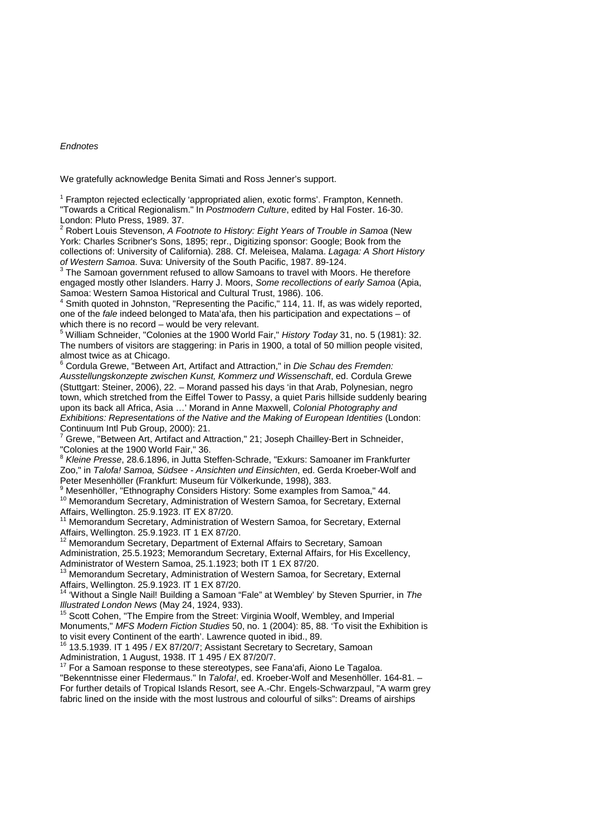### *Endnotes*

We gratefully acknowledge Benita Simati and Ross Jenner's support.

<sup>1</sup> Frampton rejected eclectically 'appropriated alien, exotic forms'. Frampton, Kenneth. "Towards a Critical Regionalism." In *Postmodern Culture*, edited by Hal Foster. 16-30. London: Pluto Press, 1989. 37.

<sup>2</sup> Robert Louis Stevenson, *A Footnote to History: Eight Years of Trouble in Samoa* (New York: Charles Scribner's Sons, 1895; repr., Digitizing sponsor: Google; Book from the collections of: University of California). 288. Cf. Meleisea, Malama. *Lagaga: A Short History* 

*of Western Samoa.* Suva: University of the South Pacific, 1987. 89-124.<br><sup>3</sup> The Samoan government refused to allow Samoans to travel with Moors. He therefore engaged mostly other Islanders. Harry J. Moors, *Some recollections of early Samoa* (Apia, Samoa: Western Samoa Historical and Cultural Trust, 1986). 106.

Smith quoted in Johnston, "Representing the Pacific," 114, 11. If, as was widely reported, one of the *fale* indeed belonged to Mata'afa, then his participation and expectations – of which there is no record – would be very relevant.<br><sup>5</sup> William Schneider, "Colonies at the 1900 World Fair," *History Today* 31, no. 5 (1981): 32.

The numbers of visitors are staggering: in Paris in 1900, a total of 50 million people visited,

Cordula Grewe, "Between Art, Artifact and Attraction," in *Die Schau des Fremden: Ausstellungskonzepte zwischen Kunst, Kommerz und Wissenschaft*, ed. Cordula Grewe (Stuttgart: Steiner, 2006), 22. – Morand passed his days 'in that Arab, Polynesian, negro town, which stretched from the Eiffel Tower to Passy, a quiet Paris hillside suddenly bearing upon its back all Africa, Asia …' Morand in Anne Maxwell, *Colonial Photography and Exhibitions: Representations of the Native and the Making of European Identities* (London:

Grewe, "Between Art, Artifact and Attraction," 21; Joseph Chailley-Bert in Schneider, "Colonies at the 1900 World Fair," 36.

<sup>8</sup> *Kleine Presse*, 28.6.1896, in Jutta Steffen-Schrade, "Exkurs: Samoaner im Frankfurter Zoo," in *Talofa! Samoa, Südsee - Ansichten und Einsichten*, ed. Gerda Kroeber-Wolf and Peter Mesenhöller (Frankfurt: Museum für Völkerkunde, 1998), 383.

Mesenhöller, "Ethnography Considers History: Some examples from Samoa," 44. <sup>10</sup> Memorandum Secretary, Administration of Western Samoa, for Secretary, External

Affairs, Wellington. 25.9.1923. IT EX 87/20.<br><sup>11</sup> Memorandum Secretary, Administration of Western Samoa, for Secretary, External Affairs, Wellington. 25.9.1923. IT 1 EX 87/20.<br><sup>12</sup> Memorandum Secretary, Department of External Affairs to Secretary, Samoan

Administration, 25.5.1923; Memorandum Secretary, External Affairs, for His Excellency,

Administrator of Western Samoa, 25.1.1923; both IT 1 EX 87/20.<br><sup>13</sup> Memorandum Secretary, Administration of Western Samoa, for Secretary, External<br>Affairs. Wellington. 25.9.1923. IT 1 EX 87/20.

Affairs, Wellington. 25.9.1923. IT 12.9.1923.<br><sup>14</sup> 'Without a Single Nail! Building a Samoan "Fale" at Wembley' by Steven Spurrier, in *The Illustrated London News* (May 24, 1924, 933).

<sup>15</sup> Scott Cohen, "The Empire from the Street: Virginia Woolf, Wembley, and Imperial Monuments," *MFS Modern Fiction Studies* 50, no. 1 (2004): 85, 88. 'To visit the Exhibition is

<sup>16</sup> 13.5.1939. IT 1 495 / EX 87/20/7; Assistant Secretary to Secretary, Samoan Administration. 1 August. 1938. IT 1 495 / EX 87/20/7.

 $\frac{7}{7}$  For a Samoan response to these stereotypes, see Fana'afi, Aiono Le Tagaloa.

"Bekenntnisse einer Fledermaus." In *Talofa!*, ed. Kroeber-Wolf and Mesenhöller. 164-81. – For further details of Tropical Islands Resort, see A.-Chr. Engels-Schwarzpaul, "A warm grey fabric lined on the inside with the most lustrous and colourful of silks": Dreams of airships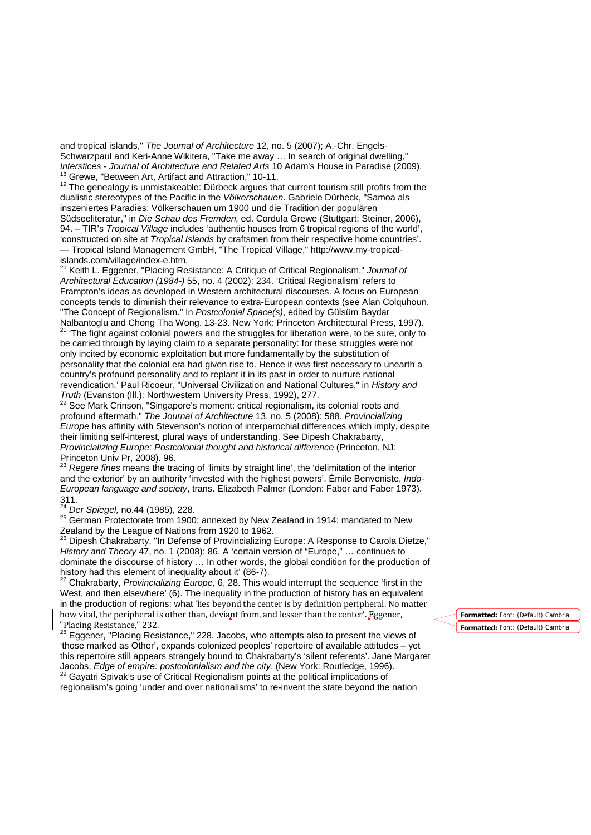and tropical islands," *The Journal of Architecture* 12, no. 5 (2007); A.-Chr. Engels-Schwarzpaul and Keri-Anne Wikitera, "Take me away ... In search of original dwelling,"<br>Interstices - Journal of Architecture and Related Arts 10 Adam's House in Paradise (2009).  $^{18}$  Grewe, "Between Art, Artifact and Attraction," 10-11.<br> $^{19}$  The genealogy is unmistakeable: Dürbeck argues that current tourism still profits from the

dualistic stereotypes of the Pacific in the *Völkerschauen*. Gabriele Dürbeck, "Samoa als inszeniertes Paradies: Völkerschauen um 1900 und die Tradition der populären Südseeliteratur," in *Die Schau des Fremden,* ed. Cordula Grewe (Stuttgart: Steiner, 2006), 94. – TIR's *Tropical Village* includes 'authentic houses from 6 tropical regions of the world', 'constructed on site at *Tropical Islands* by craftsmen from their respective home countries'. — Tropical Island Management GmbH, "The Tropical Village," http://www.my-tropical-

<sup>20</sup> Keith L. Eggener, "Placing Resistance: A Critique of Critical Regionalism," *Journal of Architectural Education (1984-)* 55, no. 4 (2002): 234. 'Critical Regionalism' refers to Frampton's ideas as developed in Western architectural discourses. A focus on European concepts tends to diminish their relevance to extra-European contexts (see Alan Colquhoun, "The Concept of Regionalism." In *Postcolonial Space(s)*, edited by Gülsüm Baydar <sup>21</sup> 'The fight against colonial powers and the struggles for liberation were, to be sure, only to be carried through by laying claim to a separate personality: for these struggles were not only incited by economic exploitation but more fundamentally by the substitution of personality that the colonial era had given rise to. Hence it was first necessary to unearth a country's profound personality and to replant it in its past in order to nurture national revendication.' Paul Ricoeur, "Universal Civilization and National Cultures," in *History and* 

<sup>22</sup> See Mark Crinson, "Singapore's moment: critical regionalism, its colonial roots and profound aftermath," *The Journal of Architecture* 13, no. 5 (2008): 588. *Provincializing Europe* has affinity with Stevenson's notion of interparochial differences which imply, despite their limiting self-interest, plural ways of understanding. See Dipesh Chakrabarty, *Provincializing Europe: Postcolonial thought and historical difference* (Princeton, NJ: Princeton Univ Pr, 2008). 96.

<sup>23</sup> *Regere fines* means the tracing of 'limits by straight line', the 'delimitation of the interior and the exterior' by an authority 'invested with the highest powers'. Émile Benveniste, *Indo-European language and society*, trans. Elizabeth Palmer (London: Faber and Faber 1973). 311.<br><sup>24</sup> Der Spiegel, no.44 (1985), 228.

<sup>25</sup> German Protectorate from 1900; annexed by New Zealand in 1914; mandated to New

Zealand by the League of Nations from 1920 to 1962.<br><sup>26</sup> Dipesh Chakrabarty, "In Defense of Provincializing Europe: A Response to Carola Dietze," *History and Theory* 47, no. 1 (2008): 86. A 'certain version of "Europe," … continues to dominate the discourse of history ... In other words, the global condition for the production of history had this element of inequality about it' (86-7).

<sup>27</sup> Chakrabarty, *Provincializing Europe,* 6, 28. This would interrupt the sequence 'first in the West, and then elsewhere' (6). The inequality in the production of history has an equivalent in the production of regions: what 'lies beyond the center is by definition peripheral. No matter how vital, the peripheral is other than, deviant from, and lesser than the center'. Eggener, "Placing Resistance," 232.

<sup>28</sup> Eggener, "Placing Resistance," 228. Jacobs, who attempts also to present the views of 'those marked as Other', expands colonized peoples' repertoire of available attitudes – yet this repertoire still appears strangely bound to Chakrabarty's 'silent referents'. Jane Margaret Jacobs, Edge of empire: postcolonialism and the city, (New York: Routledge, 1996). Jacobs, *Edge of empire: postcolonialism and the city*, (New York: Routledge, 1996). <sup>29</sup> Gayatri Spivak's use of Critical Regionalism points at the political implications of

regionalism's going 'under and over nationalisms' to re-invent the state beyond the nation

**Formatted:** Font: (Default) Cambria **Formatted:** Font: (Default) Cambria